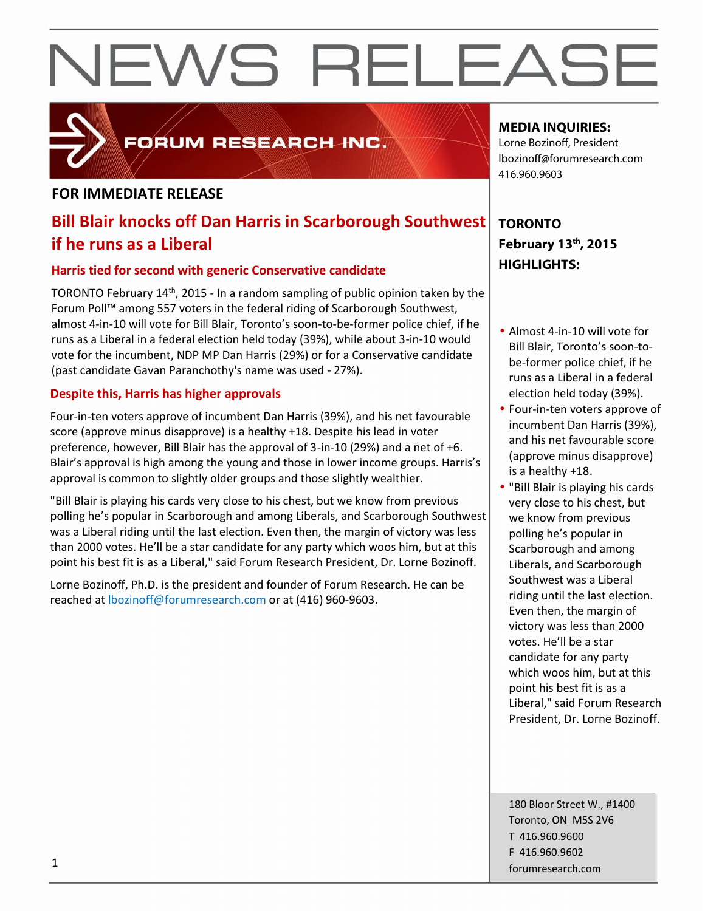

FORUM RESEARCH INC.

# **FOR IMMEDIATE RELEASE**

# **Bill Blair knocks off Dan Harris in Scarborough Southwest if he runs as a Liberal**

# **Harris tied for second with generic Conservative candidate**

TORONTO February 14th, 2015 - In a random sampling of public opinion taken by the Forum Poll™ among 557 voters in the federal riding of Scarborough Southwest, almost 4-in-10 will vote for Bill Blair, Toronto's soon-to-be-former police chief, if he runs as a Liberal in a federal election held today (39%), while about 3-in-10 would vote for the incumbent, NDP MP Dan Harris (29%) or for a Conservative candidate (past candidate Gavan Paranchothy's name was used - 27%).

# **Despite this, Harris has higher approvals**

Four-in-ten voters approve of incumbent Dan Harris (39%), and his net favourable score (approve minus disapprove) is a healthy +18. Despite his lead in voter preference, however, Bill Blair has the approval of 3-in-10 (29%) and a net of +6. Blair's approval is high among the young and those in lower income groups. Harris's approval is common to slightly older groups and those slightly wealthier.

"Bill Blair is playing his cards very close to his chest, but we know from previous polling he's popular in Scarborough and among Liberals, and Scarborough Southwest was a Liberal riding until the last election. Even then, the margin of victory was less than 2000 votes. He'll be a star candidate for any party which woos him, but at this point his best fit is as a Liberal," said Forum Research President, Dr. Lorne Bozinoff.

Lorne Bozinoff, Ph.D. is the president and founder of Forum Research. He can be reached at lbozinoff@forumresearch.com or at (416) 960-9603.

# **MEDIA INQUIRIES:**

Lorne Bozinoff, President lbozinoff@forumresearch.com 416.960.9603

# **TORONTO February 13 th, 2015 HIGHLIGHTS:**

- Almost 4-in-10 will vote for Bill Blair, Toronto's soon-to be-former police chief, if he runs as a Liberal in a federal election held today (39%).
- Four-in-ten voters approve of incumbent Dan Harris (39%), and his net favourable score (approve minus disapprove) is a healthy +18.
- "Bill Blair is playing his cards very close to his chest, but we know from previous polling he's popular in Scarborough and among Liberals, and Scarborough Southwest was a Liberal riding until the last election. Even then, the margin of victory was less than 2000 votes. He'll be a star candidate for any party which woos him, but at this point his best fit is as a Liberal," said Forum Research President, Dr. Lorne Bozinoff.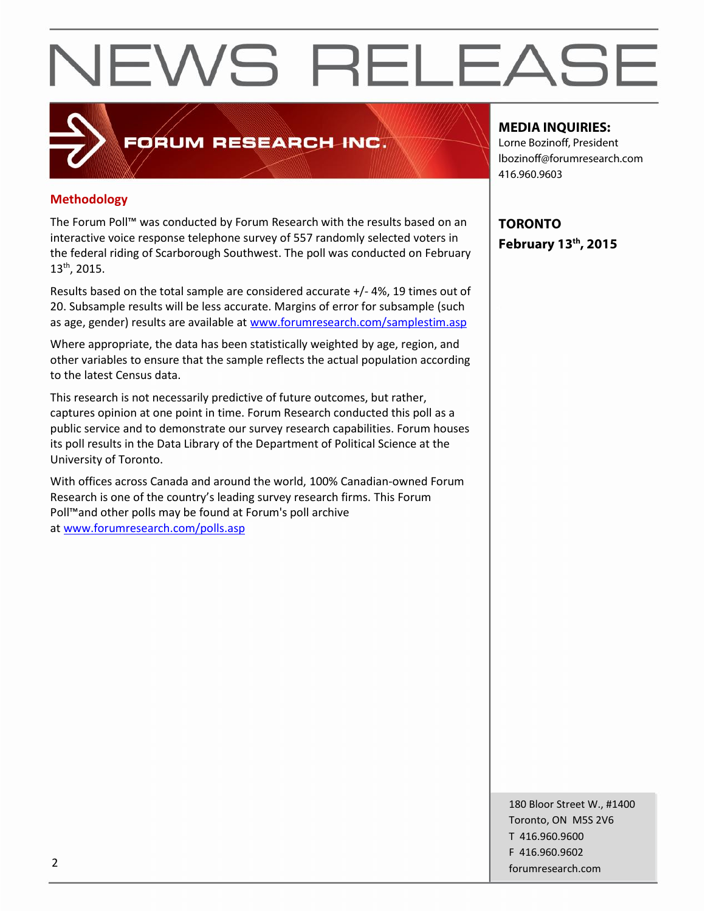# FORUM RESEARCH INC.

# **Methodology**

The Forum Poll™ was conducted by Forum Research with the results based on an interactive voice response telephone survey of 557 randomly selected voters in the federal riding of Scarborough Southwest. The poll was conducted on February 13th , 2015.

Results based on the total sample are considered accurate +/- 4%, 19 times out of 20. Subsample results will be less accurate. Margins of error for subsample (such as age, gender) results are available at www.forumresearch.com/samplestim.asp

Where appropriate, the data has been statistically weighted by age, region, and other variables to ensure that the sample reflects the actual population according to the latest Census data.

This research is not necessarily predictive of future outcomes, but rather, captures opinion at one point in time. Forum Research conducted this poll as a public service and to demonstrate our survey research capabilities. Forum houses its poll results in the Data Library of the Department of Political Science at the University of Toronto.

With offices across Canada and around the world, 100% Canadian-owned Forum Research is one of the country's leading survey research firms. This Forum Poll™and other polls may be found at Forum's poll archive at www.forumresearch.com/polls.asp

## **MEDIA INQUIRIES:**

Lorne Bozinoff, President lbozinoff@forumresearch.com 416.960.9603

**TORONTO February 13 th, 2015**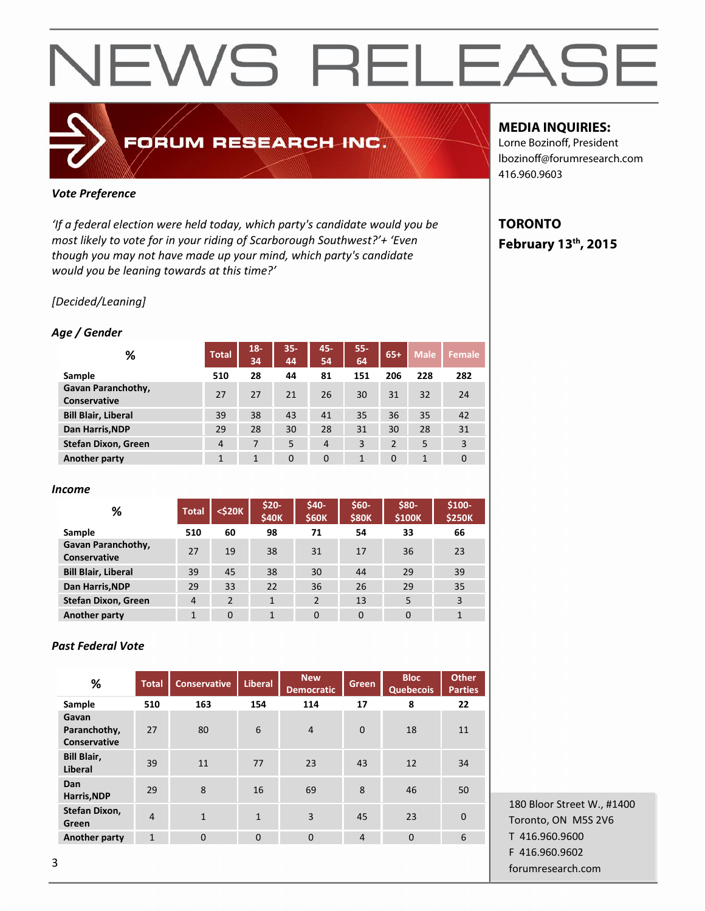# FORUM RESEARCH INC.

# *Vote Preference*

*'If a federal election were held today, which party's candidate would you be most likely to vote for in your riding of Scarborough Southwest?'+ 'Even though you may not have made up your mind, which party's candidate would you be leaning towards at this time?'*

# *[Decided/Leaning]*

### *Age / Gender*

| %                                  | <b>Total</b>   | $18 -$<br>34 | $35 -$<br>44 | 45-<br>54      | $55 -$<br>64 | $65+$          | <b>Male</b> | <b>Female</b> |
|------------------------------------|----------------|--------------|--------------|----------------|--------------|----------------|-------------|---------------|
| Sample                             | 510            | 28           | 44           | 81             | 151          | 206            | 228         | 282           |
| Gavan Paranchothy,<br>Conservative | 27             | 27           | 21           | 26             | 30           | 31             | 32          | 24            |
| <b>Bill Blair, Liberal</b>         | 39             | 38           | 43           | 41             | 35           | 36             | 35          | 42            |
| Dan Harris, NDP                    | 29             | 28           | 30           | 28             | 31           | 30             | 28          | 31            |
| <b>Stefan Dixon, Green</b>         | $\overline{4}$ | 7            | 5            | $\overline{4}$ | 3            | $\overline{2}$ | 5           | 3             |
| Another party                      | 1              | 1            | $\mathbf{0}$ | $\mathbf{0}$   | 1            | 0              | 1           | $\mathbf{0}$  |

#### *Income*

| ℅                                         | <b>Total</b>   | $<$ \$20 $K$   | $$20-$<br><b>\$40K</b> | \$40-<br><b>\$60K</b> | \$60-<br><b>\$80K</b> | \$80-<br>\$100K | $$100-$<br><b>\$250K</b> |
|-------------------------------------------|----------------|----------------|------------------------|-----------------------|-----------------------|-----------------|--------------------------|
| Sample                                    | 510            | 60             | 98                     | 71                    | 54                    | 33              | 66                       |
| <b>Gavan Paranchothy,</b><br>Conservative | 27             | 19             | 38                     | 31                    | 17                    | 36              | 23                       |
| <b>Bill Blair, Liberal</b>                | 39             | 45             | 38                     | 30                    | 44                    | 29              | 39                       |
| Dan Harris, NDP                           | 29             | 33             | 22                     | 36                    | 26                    | 29              | 35                       |
| <b>Stefan Dixon, Green</b>                | $\overline{4}$ | $\overline{2}$ | $\mathbf{1}$           | $\overline{2}$        | 13                    | 5               | 3                        |
| Another party                             | 1              | $\mathbf{0}$   | 1                      | $\mathbf{0}$          | $\mathbf{0}$          | $\Omega$        | 1                        |

### *Past Federal Vote*

| %                                     | <b>Total</b>   | <b>Conservative</b> | <b>Liberal</b> | <b>New</b><br><b>Democratic</b> | Green          | <b>Bloc</b><br><b>Quebecois</b> | <b>Other</b><br><b>Parties</b> |
|---------------------------------------|----------------|---------------------|----------------|---------------------------------|----------------|---------------------------------|--------------------------------|
| Sample                                | 510            | 163                 | 154            | 114                             | 17             | 8                               | 22                             |
| Gavan<br>Paranchothy,<br>Conservative | 27             | 80                  | 6              | $\overline{4}$                  | $\mathbf{0}$   | 18                              | 11                             |
| <b>Bill Blair,</b><br>Liberal         | 39             | 11                  | 77             | 23                              | 43             | 12                              | 34                             |
| Dan<br>Harris, NDP                    | 29             | 8                   | 16             | 69                              | 8              | 46                              | 50                             |
| Stefan Dixon,<br>Green                | $\overline{4}$ | $\mathbf{1}$        | $\mathbf{1}$   | 3                               | 45             | 23                              | $\mathbf{0}$                   |
| Another party                         | $\mathbf{1}$   | $\mathbf{0}$        | $\overline{0}$ | $\mathbf{0}$                    | $\overline{4}$ | $\overline{0}$                  | 6                              |
|                                       |                |                     |                |                                 |                |                                 |                                |

# **MEDIA INQUIRIES:**

Lorne Bozinoff, President lbozinoff@forumresearch.com 416.960.9603

# **TORONTO February 13 th, 2015**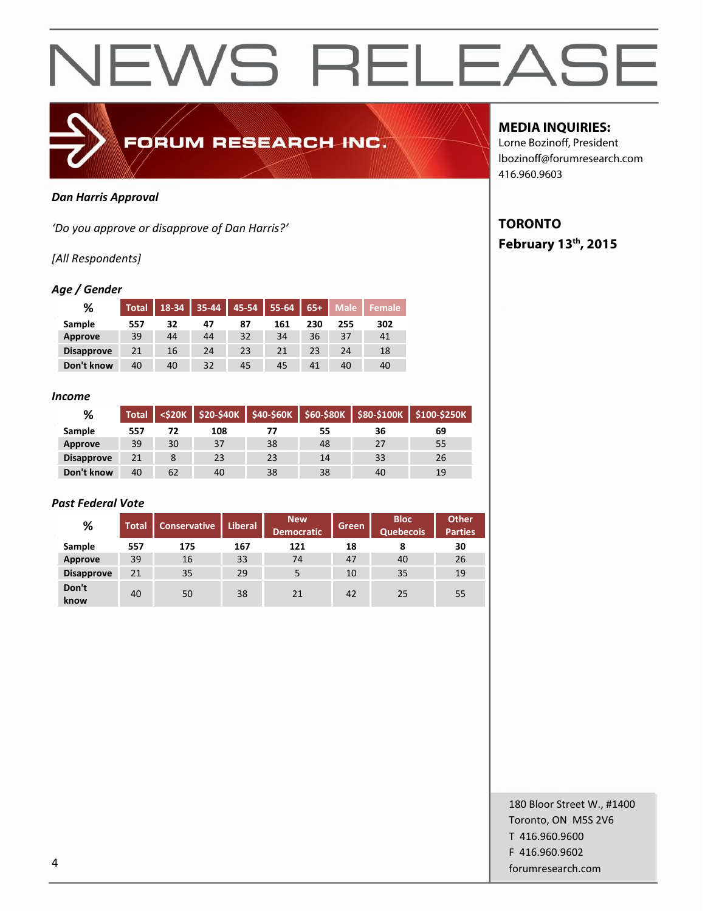

#### *Dan Harris Approval*

*'Do you approve or disapprove of Dan Harris?'*

## *[All Respondents]*

### *Age / Gender*

| %                 | <b>Total</b> | $18-34$ 35-44 |    |    | 45-54   55-64   65+ |     | <b>Male</b> | <b>N</b> Female |
|-------------------|--------------|---------------|----|----|---------------------|-----|-------------|-----------------|
| Sample            | 557          | 32            | 47 | 87 | 161                 | 230 | 255         | 302             |
| Approve           | 39           | 44            | 44 | 32 | 34                  | 36  | 37          | 41              |
| <b>Disapprove</b> | 21           | 16            | 24 | 23 | 21                  | 23  | 24          | 18              |
| Don't know        | 40           | 40            | 32 | 45 | 45                  | 41  | 40          | 40              |

#### *Income*

| %                 | Total |    |     |    |    | <\$20K   \$20-\$40K   \$40-\$60K   \$60-\$80K   \$80-\$100K | <b>\$100-\$250K</b> |
|-------------------|-------|----|-----|----|----|-------------------------------------------------------------|---------------------|
| <b>Sample</b>     | 557   | 72 | 108 |    | 55 | 36                                                          | 69                  |
| Approve           | 39    | 30 | 37  | 38 | 48 | 27                                                          | 55                  |
| <b>Disapprove</b> | 21    |    | 23  | 23 | 14 | 33                                                          | 26                  |
| Don't know        | 40    | 62 | 40  | 38 | 38 | 40                                                          | 19                  |

### *Past Federal Vote*

| %                 | <b>Total</b> | <b>Conservative</b> | <b>Liberal</b> | <b>New</b><br><b>Democratic</b> | Green | <b>Bloc</b><br><b>Quebecois</b> | <b>Other</b><br><b>Parties</b> |
|-------------------|--------------|---------------------|----------------|---------------------------------|-------|---------------------------------|--------------------------------|
| Sample            | 557          | 175                 | 167            | 121                             | 18    | 8                               | 30                             |
| Approve           | 39           | 16                  | 33             | 74                              | 47    | 40                              | 26                             |
| <b>Disapprove</b> | 21           | 35                  | 29             |                                 | 10    | 35                              | 19                             |
| Don't<br>know     | 40           | 50                  | 38             | 21                              | 42    | 25                              | 55                             |

# **MEDIA INQUIRIES:**

Lorne Bozinoff, President lbozinoff@forumresearch.com 416.960.9603

# **TORONTO February 13 th, 2015**